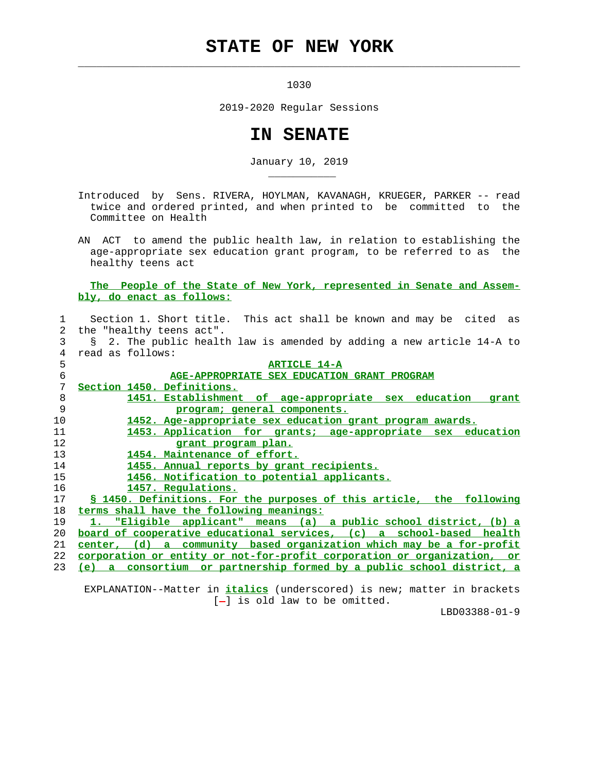## **STATE OF NEW YORK**

 $\mathcal{L}_\text{max} = \frac{1}{2} \sum_{i=1}^{n} \frac{1}{2} \sum_{i=1}^{n} \frac{1}{2} \sum_{i=1}^{n} \frac{1}{2} \sum_{i=1}^{n} \frac{1}{2} \sum_{i=1}^{n} \frac{1}{2} \sum_{i=1}^{n} \frac{1}{2} \sum_{i=1}^{n} \frac{1}{2} \sum_{i=1}^{n} \frac{1}{2} \sum_{i=1}^{n} \frac{1}{2} \sum_{i=1}^{n} \frac{1}{2} \sum_{i=1}^{n} \frac{1}{2} \sum_{i=1}^{n} \frac{1$ 

\_\_\_\_\_\_\_\_\_\_\_

1030

2019-2020 Regular Sessions

## **IN SENATE**

January 10, 2019

 Introduced by Sens. RIVERA, HOYLMAN, KAVANAGH, KRUEGER, PARKER -- read twice and ordered printed, and when printed to be committed to the Committee on Health

 AN ACT to amend the public health law, in relation to establishing the age-appropriate sex education grant program, to be referred to as the healthy teens act

## **The People of the State of New York, represented in Senate and Assem bly, do enact as follows:**

| 1           | Section 1. Short title. This act shall be known and may be cited as                  |
|-------------|--------------------------------------------------------------------------------------|
| $2^{\circ}$ | the "healthy teens act".                                                             |
| 3           | 2. The public health law is amended by adding a new article 14-A to<br>$\mathcal{S}$ |
| 4           | read as follows:                                                                     |
| 5           | <b>ARTICLE 14-A</b>                                                                  |
| 6           | AGE-APPROPRIATE SEX EDUCATION GRANT PROGRAM                                          |
| 7           | Section 1450. Definitions.                                                           |
| 8           | 1451. Establishment of age-appropriate sex education<br>grant                        |
| 9           | program; general components.                                                         |
| 10          | 1452. Age-appropriate sex education grant program awards.                            |
| 11          | 1453. Application for grants; age-appropriate sex education                          |
| 12          | grant program plan.                                                                  |
| 13          | 1454. Maintenance of effort.                                                         |
| 14          | 1455. Annual reports by grant recipients.                                            |
| 15          | 1456. Notification to potential applicants.                                          |
| 16          | 1457. Regulations.                                                                   |
| 17          | <u>S 1450. Definitions. For the purposes of this article, the following</u>          |
| 18          | terms shall have the following meanings:                                             |
| 19          | 1. "Eligible applicant" means (a) a public school district, (b) a                    |
| 20          | board of cooperative educational services, (c) a school-based health                 |
| 21          | center, (d) a community based organization which may be a for-profit                 |
| 22          | <u>corporation or entity or not-for-profit corporation or organization, or</u>       |
| 23          | consortium or partnership formed by a public school district, a<br>$(e)$ a           |

 EXPLANATION--Matter in **italics** (underscored) is new; matter in brackets [-] is old law to be omitted.

LBD03388-01-9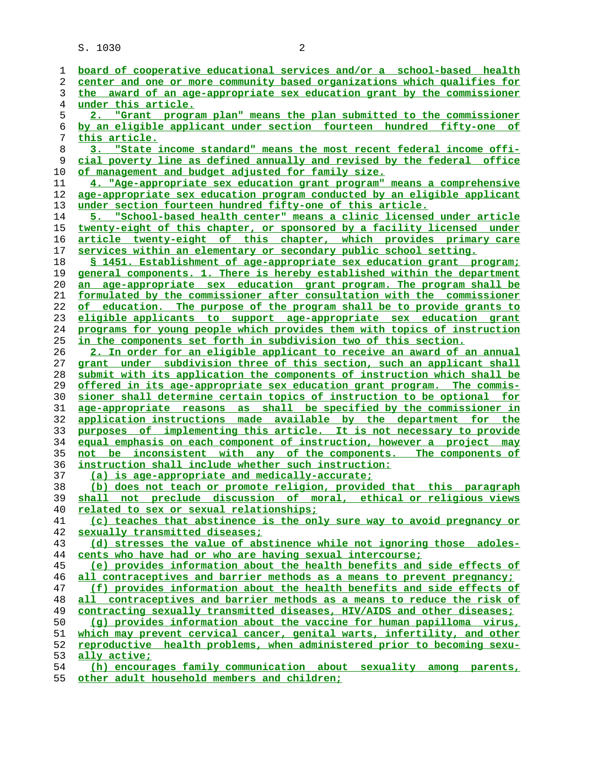| ı        | board of cooperative educational services and/or a school-based health                                                                            |
|----------|---------------------------------------------------------------------------------------------------------------------------------------------------|
| 2        | center and one or more community based organizations which qualifies for                                                                          |
| 3        | the award of an age-appropriate sex education grant by the commissioner                                                                           |
| 4        | <u>under this article.</u>                                                                                                                        |
| 5        | 2. "Grant program plan" means the plan submitted to the commissioner                                                                              |
| 6        | by an eligible applicant under section fourteen hundred fifty-one of                                                                              |
| 7        | this article.                                                                                                                                     |
| 8        | "State income standard" means the most recent federal income offi-<br>3.                                                                          |
| 9        | cial poverty line as defined annually and revised by the federal office                                                                           |
| 10       | of management and budget adjusted for family size.                                                                                                |
| 11       | 4. "Age-appropriate sex education grant program" means a comprehensive                                                                            |
| 12       | age-appropriate sex education program conducted by an eligible applicant                                                                          |
| 13       | under section fourteen hundred fifty-one of this article.                                                                                         |
| 14       | 5. "School-based health center" means a clinic licensed under article                                                                             |
| 15       | twenty-eight of this chapter, or sponsored by a facility licensed under                                                                           |
| 16       | article twenty-eight of this chapter, which provides primary care                                                                                 |
| 17       | services within an elementary or secondary public school setting.                                                                                 |
| 18       | <u>S 1451. Establishment of age-appropriate sex education grant program;</u>                                                                      |
| 19       | general components. 1. There is hereby established within the department                                                                          |
| 20       | an age-appropriate sex education grant program. The program shall be                                                                              |
| 21       | formulated by the commissioner after consultation with the commissioner                                                                           |
| 22       | of education. The purpose of the program shall be to provide grants to                                                                            |
| 23       | eligible applicants to support age-appropriate sex education grant                                                                                |
| 24       | programs for young people which provides them with topics of instruction                                                                          |
| 25       | in the components set forth in subdivision two of this section.                                                                                   |
| 26       | 2. In order for an eligible applicant to receive an award of an annual                                                                            |
| 27       | grant under subdivision three of this section, such an applicant shall                                                                            |
| 28       | submit with its application the components of instruction which shall be                                                                          |
| 29       | <u>offered in its age-appropriate sex education grant program. The commis-</u>                                                                    |
| 30       | sioner shall determine certain topics of instruction to be optional for                                                                           |
| 31       | age-appropriate reasons as shall be specified by the commissioner in                                                                              |
| 32       | application instructions made available by the department for the                                                                                 |
| 33       | purposes of implementing this article. It is not necessary to provide                                                                             |
| 34       | equal emphasis on each component of instruction, however a project may                                                                            |
| 35       | not be inconsistent with any of the components. The components of                                                                                 |
| 36       | instruction shall include whether such instruction:                                                                                               |
| 37       | (a) is age-appropriate and medically-accurate;                                                                                                    |
| 38       | (b) does not teach or promote religion, provided that this paragraph                                                                              |
| 39       | shall not preclude discussion of moral, ethical or religious views                                                                                |
| 40       | related to sex or sexual relationships;                                                                                                           |
| 41       | (c) teaches that abstinence is the only sure way to avoid pregnancy or                                                                            |
| 42       | sexually transmitted diseases;                                                                                                                    |
| 43       | (d) stresses the value of abstinence while not ignoring those adoles-                                                                             |
| 44       | cents who have had or who are having sexual intercourse;<br>(e) provides information about the health benefits and side effects of                |
| 45       | all contraceptives and barrier methods as a means to prevent pregnancy;                                                                           |
| 46       | (f) provides information about the health benefits and side effects of                                                                            |
| 47<br>48 | all contraceptives and barrier methods as a means to reduce the risk of                                                                           |
| 49       | contracting sexually transmitted diseases, HIV/AIDS and other diseases;                                                                           |
| 50       |                                                                                                                                                   |
| 51       | (q) provides information about the vaccine for human papilloma virus,<br>which may prevent cervical cancer, genital warts, infertility, and other |
| 52       | reproductive health problems, when administered prior to becoming sexu-                                                                           |
| 53       | ally active;                                                                                                                                      |
| 54       | (h) encourages family communication about sexuality<br>among parents,                                                                             |
|          |                                                                                                                                                   |

**other adult household members and children;**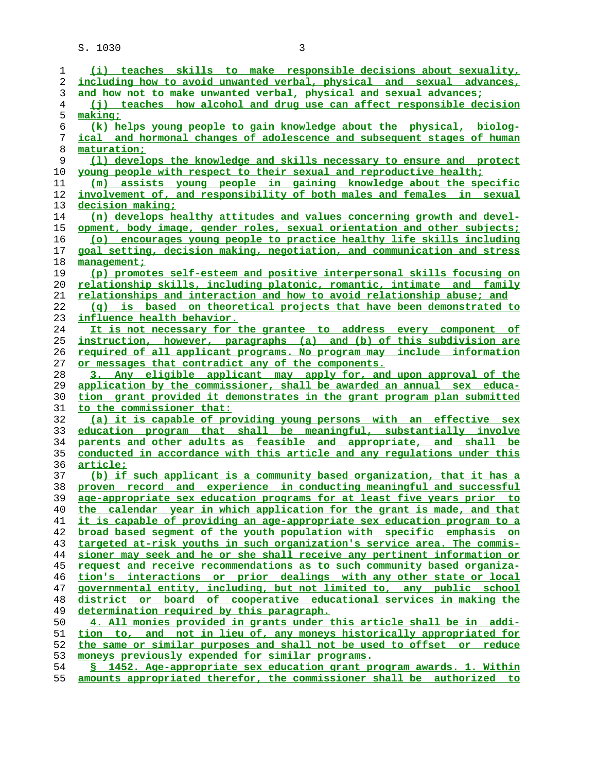| 1        | (i) teaches skills to make responsible decisions about sexuality,                                                         |
|----------|---------------------------------------------------------------------------------------------------------------------------|
| 2        | including how to avoid unwanted verbal, physical and sexual advances,                                                     |
| 3        | and how not to make unwanted verbal, physical and sexual advances;                                                        |
| 4        | (i) teaches how alcohol and drug use can affect responsible decision                                                      |
| 5        | <u>making;</u>                                                                                                            |
| 6        | (k) helps young people to gain knowledge about the physical, biolog-                                                      |
| 7        | ical and hormonal changes of adolescence and subsequent stages of human                                                   |
| 8        | maturation;                                                                                                               |
| 9        | (1) develops the knowledge and skills necessary to ensure and protect                                                     |
| 10       | young people with respect to their sexual and reproductive health;                                                        |
| 11       | (m) assists young people in gaining knowledge about the specific                                                          |
| 12       | involvement of, and responsibility of both males and females in sexual                                                    |
| 13       | decision making;                                                                                                          |
| 14       | (n) develops healthy attitudes and values concerning growth and devel-                                                    |
| 15       | opment, body image, gender roles, sexual orientation and other subjects;                                                  |
| 16       |                                                                                                                           |
|          | (o) encourages young people to practice healthy life skills including                                                     |
| 17       | goal setting, decision making, negotiation, and communication and stress                                                  |
| 18       | management;                                                                                                               |
| 19       | (p) promotes self-esteem and positive interpersonal skills focusing on                                                    |
| 20       | relationship skills, including platonic, romantic, intimate and family                                                    |
| 21       | relationships and interaction and how to avoid relationship abuse; and                                                    |
| 22       | (q) is based on theoretical projects that have been demonstrated to                                                       |
| 23       | influence health behavior.                                                                                                |
| 24       | It is not necessary for the grantee to address every component of                                                         |
| 25       | instruction, however, paragraphs (a) and (b) of this subdivision are                                                      |
| 26       | required of all applicant programs. No program may include information                                                    |
| 27       | or messages that contradict any of the components.                                                                        |
| 28       | 3. Any eligible applicant may apply for, and upon approval of the                                                         |
| 29       | application by the commissioner, shall be awarded an annual sex educa-                                                    |
| 30       | tion grant provided it demonstrates in the grant program plan submitted                                                   |
| 31       | to the commissioner that:                                                                                                 |
| 32       | (a) it is capable of providing young persons with an effective sex                                                        |
| 33       | education program that shall be meaningful, substantially involve                                                         |
| 34       | parents and other adults as feasible and appropriate, and shall be                                                        |
| 35       | conducted in accordance with this article and any regulations under this                                                  |
| 36       | article;                                                                                                                  |
| 37       | (b) if such applicant is a community based organization, that it has a                                                    |
| 38       | proven record and experience in conducting meaningful and successful                                                      |
| 39       | age-appropriate sex education programs for at least five years prior to                                                   |
| 40       | the calendar year in which application for the grant is made, and that                                                    |
| 41       | it is capable of providing an age-appropriate sex education program to a                                                  |
| 42       | broad based seqment of the youth population with specific emphasis on                                                     |
| 43       | targeted at-risk youths in such organization's service area. The commis-                                                  |
| 44       | sioner may seek and he or she shall receive any pertinent information or                                                  |
| 45       | request and receive recommendations as to such community based organiza-                                                  |
| 46       | tion's interactions or prior dealings with any other state or local                                                       |
| 47       | governmental entity, including, but not limited to, any public school                                                     |
| 48       | district or board of cooperative educational services in making the                                                       |
| 49       | determination required by this paragraph.                                                                                 |
| 50       | 4. All monies provided in grants under this article shall be in addi-                                                     |
| 51       | tion to, and not in lieu of, any moneys historically appropriated for                                                     |
| 52       |                                                                                                                           |
|          | the same or similar purposes and shall not be used to offset or reduce                                                    |
| 53<br>54 | moneys previously expended for similar programs.<br>§ 1452. Age-appropriate sex education grant program awards. 1. Within |

**amounts appropriated therefor, the commissioner shall be authorized to**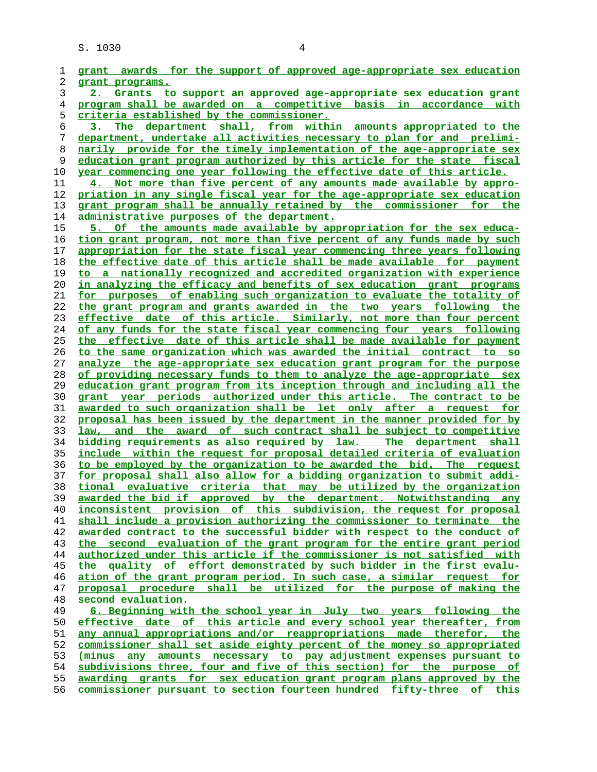| 1  | grant awards for the support of approved age-appropriate sex education   |
|----|--------------------------------------------------------------------------|
|    |                                                                          |
| 2  | grant programs.                                                          |
| 3  | 2. Grants to support an approved age-appropriate sex education grant     |
| 4  | program shall be awarded on a competitive basis in accordance with       |
| 5  | criteria established by the commissioner.                                |
| 6  | 3. The department shall, from within amounts appropriated to the         |
| 7  | department, undertake all activities necessary to plan for and prelimi-  |
| 8  | narily provide for the timely implementation of the age-appropriate sex  |
| 9  | education grant program authorized by this article for the state fiscal  |
|    |                                                                          |
| 10 | year commencing one year following the effective date of this article.   |
| 11 | 4. Not more than five percent of any amounts made available by appro-    |
| 12 | priation in any single fiscal year for the age-appropriate sex education |
| 13 | grant program shall be annually retained by the commissioner for the     |
| 14 | <u>administrative purposes of the department.</u>                        |
| 15 | 5. Of the amounts made available by appropriation for the sex educa-     |
| 16 | tion grant program, not more than five percent of any funds made by such |
| 17 | appropriation for the state fiscal year commencing three years following |
| 18 | the effective date of this article shall be made available for payment   |
| 19 | to a nationally recognized and accredited organization with experience   |
|    |                                                                          |
| 20 | in analyzing the efficacy and benefits of sex education grant programs   |
| 21 | for purposes of enabling such organization to evaluate the totality of   |
| 22 | the grant program and grants awarded in the two years following the      |
| 23 | effective date of this article. Similarly, not more than four percent    |
| 24 | of any funds for the state fiscal year commencing four years following   |
| 25 | the effective date of this article shall be made available for payment   |
| 26 | to the same organization which was awarded the initial contract to so    |
| 27 | analyze the age-appropriate sex education grant program for the purpose  |
| 28 | of providing necessary funds to them to analyze the age-appropriate sex  |
| 29 | education grant program from its inception through and including all the |
| 30 | grant year periods authorized under this article. The contract to be     |
| 31 | awarded to such organization shall be let only after a request for       |
|    |                                                                          |
| 32 | proposal has been issued by the department in the manner provided for by |
| 33 | law, and the award of such contract shall be subject to competitive      |
| 34 | bidding requirements as also required by law. The department shall       |
| 35 | include within the request for proposal detailed criteria of evaluation  |
| 36 | to be employed by the organization to be awarded the bid. The request    |
| 37 | for proposal shall also allow for a bidding organization to submit addi- |
| 38 | tional evaluative criteria that may be utilized by the organization      |
| 39 | awarded the bid if approved by the department. Notwithstanding any       |
| 40 | inconsistent provision of this subdivision, the request for proposal     |
| 41 | shall include a provision authorizing the commissioner to terminate the  |
| 42 | awarded contract to the successful bidder with respect to the conduct of |
| 43 | the second evaluation of the grant program for the entire grant period   |
| 44 | authorized under this article if the commissioner is not satisfied with  |
|    |                                                                          |
| 45 | the quality of effort demonstrated by such bidder in the first evalu-    |
| 46 | ation of the grant program period. In such case, a similar request for   |
| 47 | proposal procedure shall be utilized for the purpose of making the       |
| 48 | second evaluation.                                                       |
| 49 | 6. Beginning with the school year in July two years following the        |
| 50 | effective date of this article and every school year thereafter, from    |
| 51 | any annual appropriations and/or reappropriations made therefor, the     |
| 52 | commissioner shall set aside eighty percent of the money so appropriated |
| 53 | any amounts necessary to pay adjustment expenses pursuant to<br>(minus   |
| 54 | subdivisions three, four and five of this section) for the purpose of    |
| 55 | awarding grants for sex education grant program plans approved by the    |
|    |                                                                          |
| 56 | commissioner pursuant to section fourteen hundred fifty-three of this    |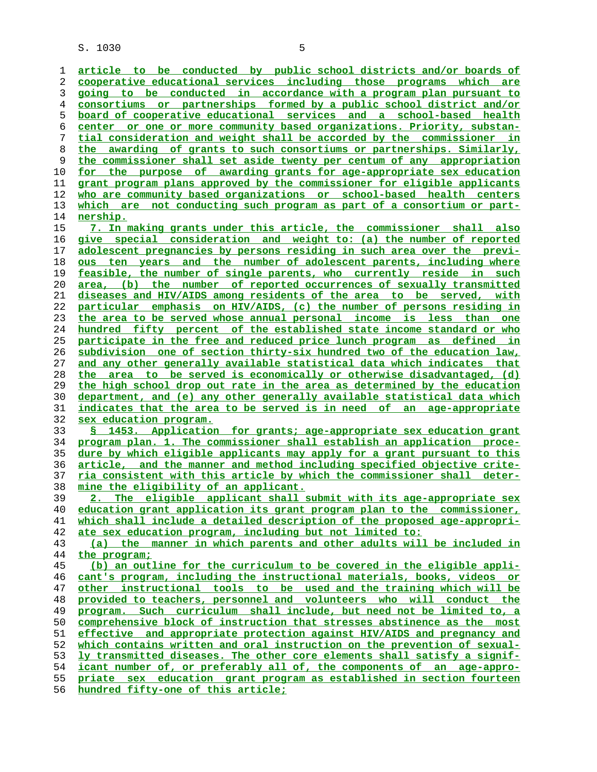**article to be conducted by public school districts and/or boards of cooperative educational services including those programs which are going to be conducted in accordance with a program plan pursuant to consortiums or partnerships formed by a public school district and/or board of cooperative educational services and a school-based health center or one or more community based organizations. Priority, substan- tial consideration and weight shall be accorded by the commissioner in the awarding of grants to such consortiums or partnerships. Similarly, the commissioner shall set aside twenty per centum of any appropriation for the purpose of awarding grants for age-appropriate sex education grant program plans approved by the commissioner for eligible applicants who are community based organizations or school-based health centers which are not conducting such program as part of a consortium or part- nership. 7. In making grants under this article, the commissioner shall also give special consideration and weight to: (a) the number of reported adolescent pregnancies by persons residing in such area over the previ- ous ten years and the number of adolescent parents, including where feasible, the number of single parents, who currently reside in such area, (b) the number of reported occurrences of sexually transmitted diseases and HIV/AIDS among residents of the area to be served, with particular emphasis on HIV/AIDS, (c) the number of persons residing in the area to be served whose annual personal income is less than one hundred fifty percent of the established state income standard or who participate in the free and reduced price lunch program as defined in subdivision one of section thirty-six hundred two of the education law, and any other generally available statistical data which indicates that the area to be served is economically or otherwise disadvantaged, (d) the high school drop out rate in the area as determined by the education department, and (e) any other generally available statistical data which indicates that the area to be served is in need of an age-appropriate sex education program. § 1453. Application for grants; age-appropriate sex education grant program plan. 1. The commissioner shall establish an application proce- dure by which eligible applicants may apply for a grant pursuant to this article, and the manner and method including specified objective crite- ria consistent with this article by which the commissioner shall deter- mine the eligibility of an applicant. 2. The eligible applicant shall submit with its age-appropriate sex education grant application its grant program plan to the commissioner, which shall include a detailed description of the proposed age-appropri- ate sex education program, including but not limited to: (a) the manner in which parents and other adults will be included in the program; (b) an outline for the curriculum to be covered in the eligible appli- cant's program, including the instructional materials, books, videos or other instructional tools to be used and the training which will be provided to teachers, personnel and volunteers who will conduct the program. Such curriculum shall include, but need not be limited to, a comprehensive block of instruction that stresses abstinence as the most effective and appropriate protection against HIV/AIDS and pregnancy and which contains written and oral instruction on the prevention of sexual- ly transmitted diseases. The other core elements shall satisfy a signif-**

**icant number of, or preferably all of, the components of an age-appro- priate sex education grant program as established in section fourteen**

**hundred fifty-one of this article;**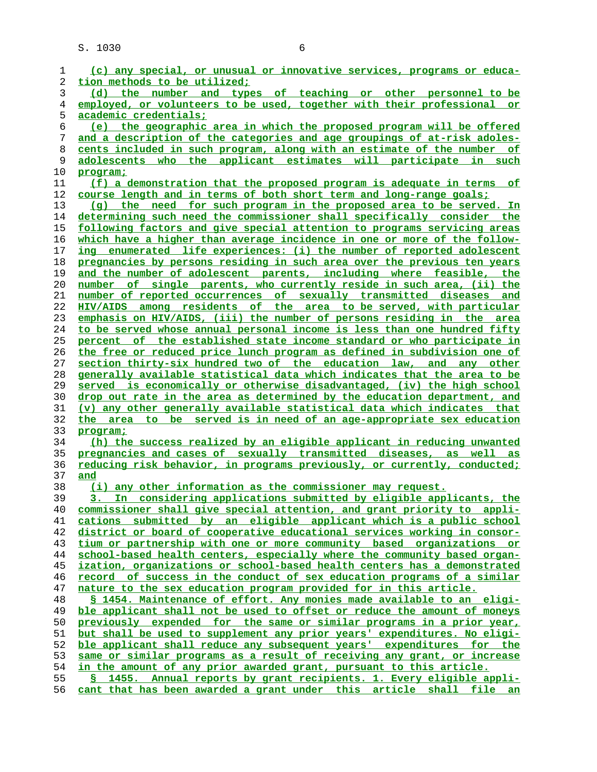| 1  | (c) any special, or unusual or innovative services, programs or educa-   |
|----|--------------------------------------------------------------------------|
| 2  | tion methods to be utilized;                                             |
| 3  | (d) the number and types of teaching or other personnel to be            |
| 4  | employed, or volunteers to be used, together with their professional or  |
| 5  | <u>academic credentials;</u>                                             |
| 6  | (e) the geographic area in which the proposed program will be offered    |
|    |                                                                          |
| 7  | and a description of the categories and age groupings of at-risk adoles- |
| 8  | cents included in such program, along with an estimate of the number of  |
| 9  | adolescents who the applicant estimates will participate in such         |
| 10 | program;                                                                 |
| 11 | (f) a demonstration that the proposed program is adequate in terms of    |
| 12 | course length and in terms of both short term and long-range goals;      |
| 13 | (g) the need for such program in the proposed area to be served. In      |
| 14 | determining such need the commissioner shall specifically consider the   |
| 15 | following factors and give special attention to programs servicing areas |
| 16 | which have a higher than average incidence in one or more of the follow- |
|    |                                                                          |
| 17 | ing enumerated life experiences: (i) the number of reported adolescent   |
| 18 | pregnancies by persons residing in such area over the previous ten years |
| 19 | and the number of adolescent parents, including where feasible, the      |
| 20 | number of single parents, who currently reside in such area, (ii) the    |
| 21 | number of reported occurrences of sexually transmitted diseases and      |
| 22 | HIV/AIDS among residents of the area to be served, with particular       |
| 23 | emphasis on HIV/AIDS, (iii) the number of persons residing in the area   |
| 24 | to be served whose annual personal income is less than one hundred fifty |
| 25 | percent of the established state income standard or who participate in   |
| 26 | the free or reduced price lunch program as defined in subdivision one of |
| 27 | section thirty-six hundred two of the education law, and any other       |
| 28 | generally available statistical data which indicates that the area to be |
|    |                                                                          |
| 29 | served is economically or otherwise disadvantaged, (iv) the high school  |
| 30 | drop out rate in the area as determined by the education department, and |
| 31 | (v) any other generally available statistical data which indicates that  |
| 32 | the area to be served is in need of an age-appropriate sex education     |
| 33 | program;                                                                 |
| 34 | (h) the success realized by an eligible applicant in reducing unwanted   |
| 35 | pregnancies and cases of sexually transmitted diseases, as well as       |
| 36 | reducing risk behavior, in programs previously, or currently, conducted; |
| 37 | and                                                                      |
| 38 | (i) any other information as the commissioner may request.               |
| 39 | considering applications submitted by eligible applicants, the<br>In     |
| 40 | commissioner shall give special attention, and grant priority to appli-  |
| 41 | cations submitted by an eligible applicant which is a public school      |
| 42 | district or board of cooperative educational services working in consor- |
|    |                                                                          |
| 43 | tium or partnership with one or more community based organizations or    |
| 44 | school-based health centers, especially where the community based organ- |
| 45 | ization, organizations or school-based health centers has a demonstrated |
| 46 | record of success in the conduct of sex education programs of a similar  |
| 47 | nature to the sex education program provided for in this article.        |
| 48 | S 1454. Maintenance of effort. Any monies made available to an eligi-    |
| 49 | ble applicant shall not be used to offset or reduce the amount of moneys |
| 50 | previously expended for the same or similar programs in a prior year,    |
| 51 | but shall be used to supplement any prior years' expenditures. No eligi- |
| 52 | ble applicant shall reduce any subsequent years' expenditures for the    |
| 53 | same or similar programs as a result of receiving any grant, or increase |
|    |                                                                          |
| 54 | in the amount of any prior awarded grant, pursuant to this article.      |
| 55 | S 1455. Annual reports by grant recipients. 1. Every eligible appli-     |
| 56 | cant that has been awarded a grant under this article shall file an      |